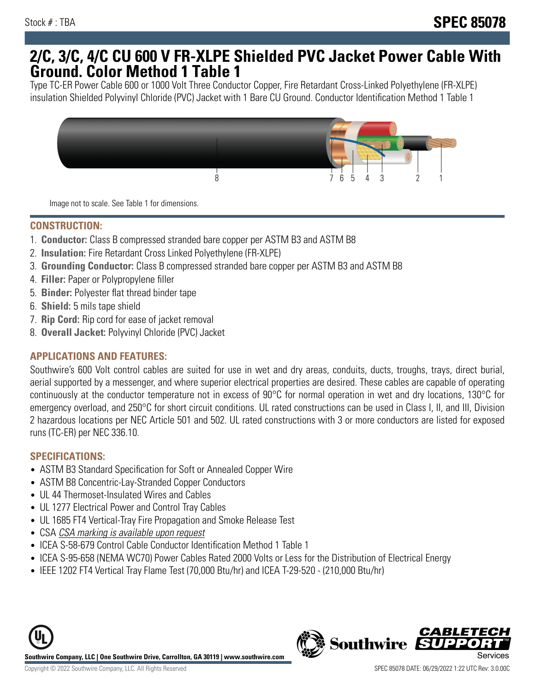## **2/C, 3/C, 4/C CU 600 V FR-XLPE Shielded PVC Jacket Power Cable With Ground. Color Method 1 Table 1**

Type TC-ER Power Cable 600 or 1000 Volt Three Conductor Copper, Fire Retardant Cross-Linked Polyethylene (FR-XLPE) insulation Shielded Polyvinyl Chloride (PVC) Jacket with 1 Bare CU Ground. Conductor Identification Method 1 Table 1



Image not to scale. See Table 1 for dimensions.

#### **CONSTRUCTION:**

- 1. **Conductor:** Class B compressed stranded bare copper per ASTM B3 and ASTM B8
- 2. **Insulation:** Fire Retardant Cross Linked Polyethylene (FR-XLPE)
- 3. **Grounding Conductor:** Class B compressed stranded bare copper per ASTM B3 and ASTM B8
- 4. **Filler:** Paper or Polypropylene filler
- 5. **Binder:** Polyester flat thread binder tape
- 6. **Shield:** 5 mils tape shield
- 7. **Rip Cord:** Rip cord for ease of jacket removal
- 8. **Overall Jacket:** Polyvinyl Chloride (PVC) Jacket

### **APPLICATIONS AND FEATURES:**

Southwire's 600 Volt control cables are suited for use in wet and dry areas, conduits, ducts, troughs, trays, direct burial, aerial supported by a messenger, and where superior electrical properties are desired. These cables are capable of operating continuously at the conductor temperature not in excess of 90°C for normal operation in wet and dry locations, 130°C for emergency overload, and 250°C for short circuit conditions. UL rated constructions can be used in Class I, II, and III, Division 2 hazardous locations per NEC Article 501 and 502. UL rated constructions with 3 or more conductors are listed for exposed runs (TC-ER) per NEC 336.10.

#### **SPECIFICATIONS:**

- ASTM B3 Standard Specification for Soft or Annealed Copper Wire
- ASTM B8 Concentric-Lay-Stranded Copper Conductors
- UL 44 Thermoset-Insulated Wires and Cables
- UL 1277 Electrical Power and Control Tray Cables
- UL 1685 FT4 Vertical-Tray Fire Propagation and Smoke Release Test
- CSA CSA marking is available upon request
- ICEA S-58-679 Control Cable Conductor Identification Method 1 Table 1
- ICEA S-95-658 (NEMA WC70) Power Cables Rated 2000 Volts or Less for the Distribution of Electrical Energy
- IEEE 1202 FT4 Vertical Tray Flame Test (70,000 Btu/hr) and ICEA T-29-520 (210,000 Btu/hr)



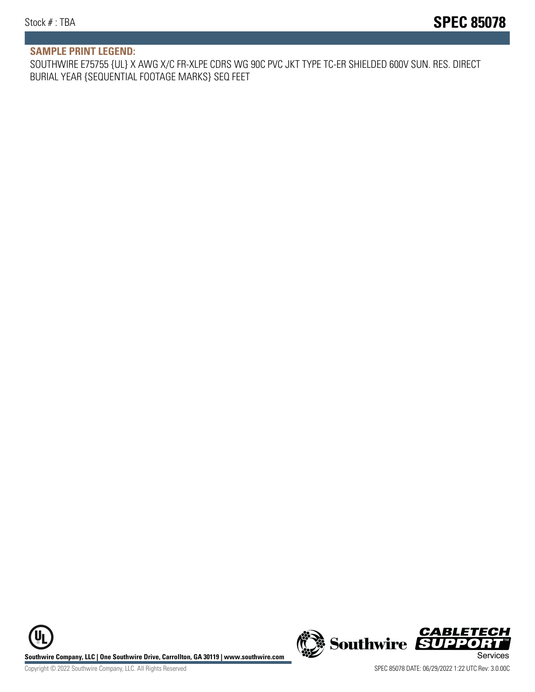#### **SAMPLE PRINT LEGEND:**

SOUTHWIRE E75755 {UL} X AWG X/C FR-XLPE CDRS WG 90C PVC JKT TYPE TC-ER SHIELDED 600V SUN. RES. DIRECT BURIAL YEAR {SEQUENTIAL FOOTAGE MARKS} SEQ FEET

UL **Southwire Company, LLC | One Southwire Drive, Carrollton, GA 30119 | www.southwire.com (New Southwire SUPPORTI**